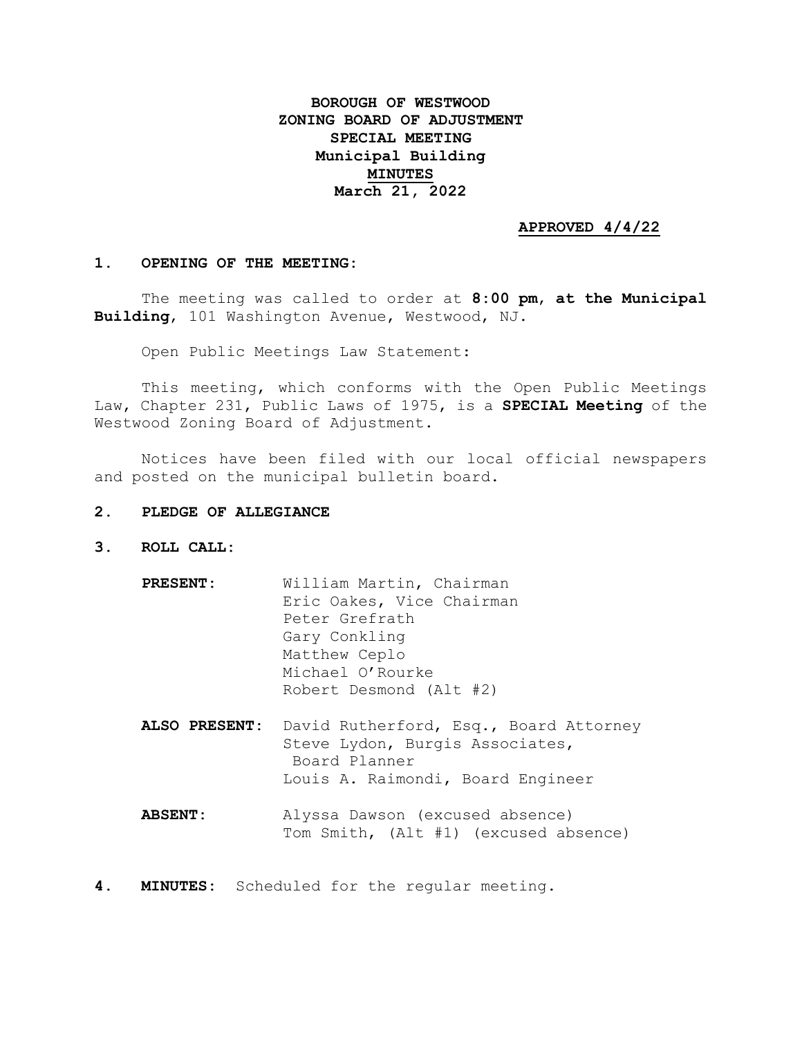# **BOROUGH OF WESTWOOD ZONING BOARD OF ADJUSTMENT SPECIAL MEETING Municipal Building MINUTES March 21, 2022**

### **APPROVED 4/4/22**

#### **1. OPENING OF THE MEETING:**

The meeting was called to order at **8:00 pm**, **at the Municipal Building**, 101 Washington Avenue, Westwood, NJ.

Open Public Meetings Law Statement:

This meeting, which conforms with the Open Public Meetings Law, Chapter 231, Public Laws of 1975, is a **SPECIAL Meeting** of the Westwood Zoning Board of Adjustment.

Notices have been filed with our local official newspapers and posted on the municipal bulletin board.

- **2. PLEDGE OF ALLEGIANCE**
- **3. ROLL CALL:**
	- **PRESENT:** William Martin, Chairman Eric Oakes, Vice Chairman Peter Grefrath Gary Conkling Matthew Ceplo Michael O'Rourke Robert Desmond (Alt #2) **ALSO PRESENT:** David Rutherford, Esq., Board Attorney Steve Lydon, Burgis Associates, Board Planner Louis A. Raimondi, Board Engineer **ABSENT:** Alyssa Dawson (excused absence) Tom Smith, (Alt #1) (excused absence)
- **4. MINUTES:** Scheduled for the regular meeting.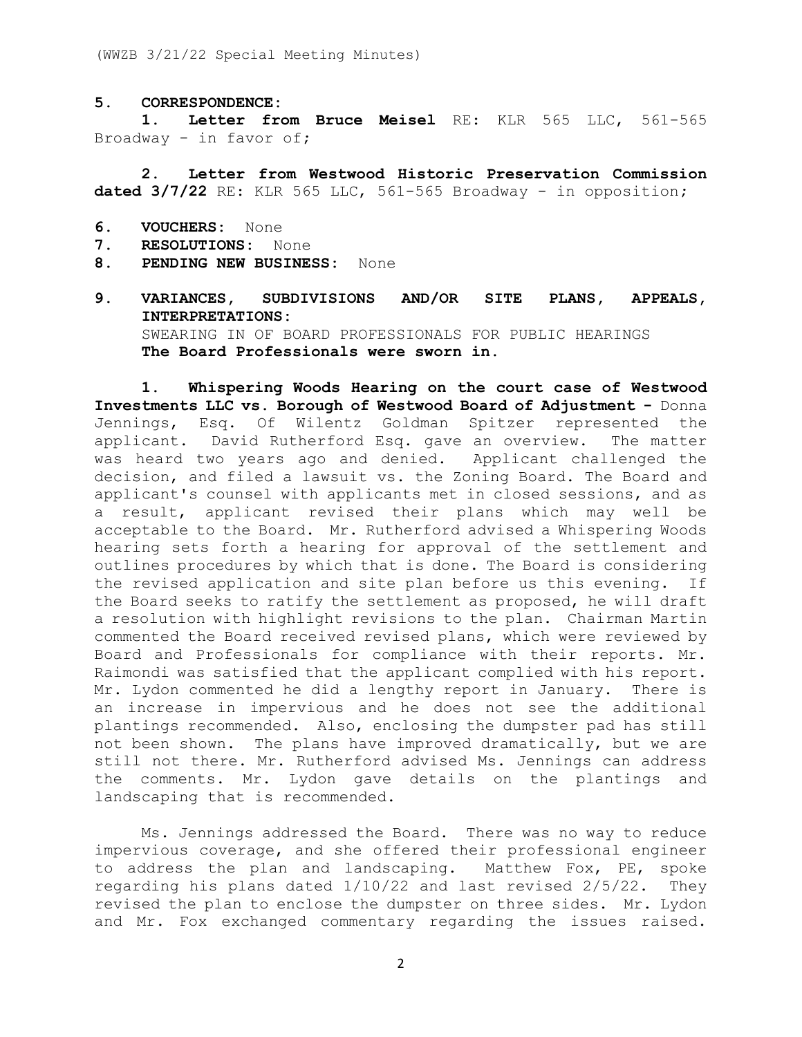#### **5. CORRESPONDENCE:**

**1. Letter from Bruce Meisel** RE: KLR 565 LLC, 561-565 Broadway - in favor of**;**

**2. Letter from Westwood Historic Preservation Commission dated 3/7/22** RE: KLR 565 LLC, 561-565 Broadway - in opposition**;**

- **6. VOUCHERS:** None
- **7. RESOLUTIONS:** None
- **8. PENDING NEW BUSINESS:** None
- **9. VARIANCES, SUBDIVISIONS AND/OR SITE PLANS, APPEALS, INTERPRETATIONS:** SWEARING IN OF BOARD PROFESSIONALS FOR PUBLIC HEARINGS **The Board Professionals were sworn in.**

**1. Whispering Woods Hearing on the court case of Westwood Investments LLC vs. Borough of Westwood Board of Adjustment -** Donna Jennings, Esq. Of Wilentz Goldman Spitzer represented the applicant. David Rutherford Esq. gave an overview. The matter was heard two years ago and denied. Applicant challenged the decision, and filed a lawsuit vs. the Zoning Board. The Board and applicant's counsel with applicants met in closed sessions, and as a result, applicant revised their plans which may well be acceptable to the Board. Mr. Rutherford advised a Whispering Woods hearing sets forth a hearing for approval of the settlement and outlines procedures by which that is done. The Board is considering the revised application and site plan before us this evening. If the Board seeks to ratify the settlement as proposed, he will draft a resolution with highlight revisions to the plan. Chairman Martin commented the Board received revised plans, which were reviewed by Board and Professionals for compliance with their reports. Mr. Raimondi was satisfied that the applicant complied with his report. Mr. Lydon commented he did a lengthy report in January. There is an increase in impervious and he does not see the additional plantings recommended. Also, enclosing the dumpster pad has still not been shown. The plans have improved dramatically, but we are still not there. Mr. Rutherford advised Ms. Jennings can address the comments. Mr. Lydon gave details on the plantings and landscaping that is recommended.

Ms. Jennings addressed the Board. There was no way to reduce impervious coverage, and she offered their professional engineer to address the plan and landscaping. Matthew Fox, PE, spoke regarding his plans dated 1/10/22 and last revised 2/5/22. They revised the plan to enclose the dumpster on three sides. Mr. Lydon and Mr. Fox exchanged commentary regarding the issues raised.

2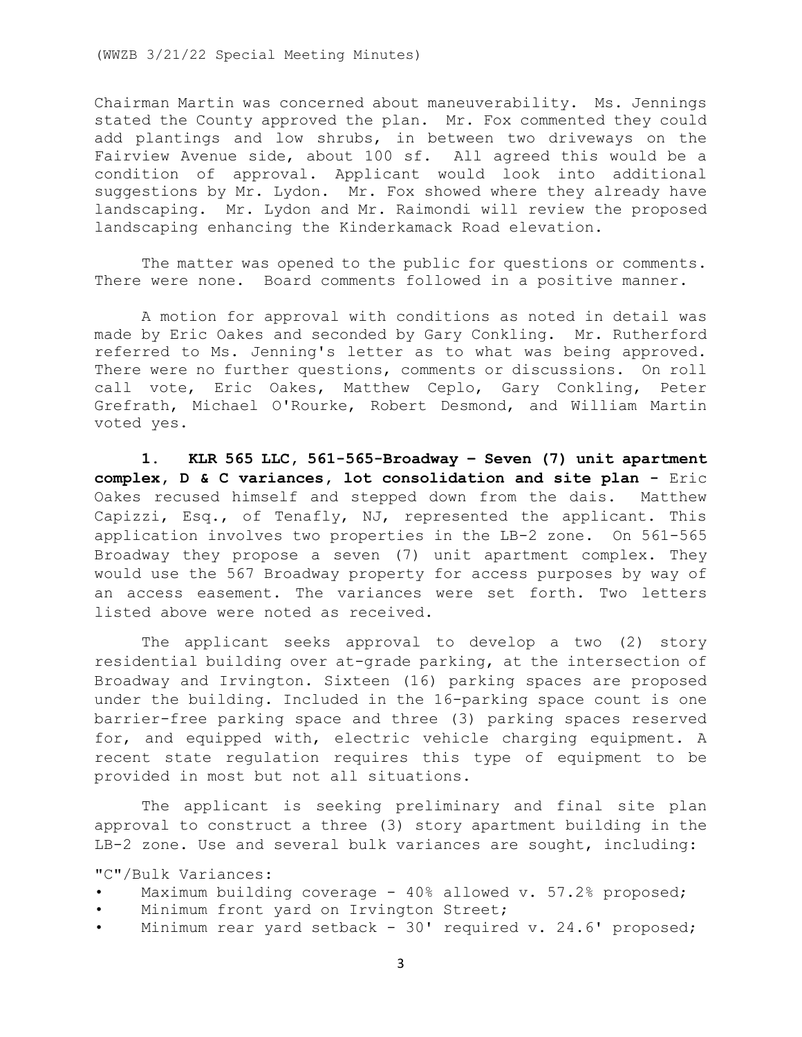Chairman Martin was concerned about maneuverability. Ms. Jennings stated the County approved the plan. Mr. Fox commented they could add plantings and low shrubs, in between two driveways on the Fairview Avenue side, about 100 sf. All agreed this would be a condition of approval. Applicant would look into additional suggestions by Mr. Lydon. Mr. Fox showed where they already have landscaping. Mr. Lydon and Mr. Raimondi will review the proposed landscaping enhancing the Kinderkamack Road elevation.

The matter was opened to the public for questions or comments. There were none. Board comments followed in a positive manner.

A motion for approval with conditions as noted in detail was made by Eric Oakes and seconded by Gary Conkling. Mr. Rutherford referred to Ms. Jenning's letter as to what was being approved. There were no further questions, comments or discussions. On roll call vote, Eric Oakes, Matthew Ceplo, Gary Conkling, Peter Grefrath, Michael O'Rourke, Robert Desmond, and William Martin voted yes.

**1. KLR 565 LLC, 561-565-Broadway – Seven (7) unit apartment complex, D & C variances, lot consolidation and site plan -** Eric Oakes recused himself and stepped down from the dais. Matthew Capizzi, Esq., of Tenafly, NJ, represented the applicant. This application involves two properties in the LB-2 zone. On 561-565 Broadway they propose a seven (7) unit apartment complex. They would use the 567 Broadway property for access purposes by way of an access easement. The variances were set forth. Two letters listed above were noted as received.

The applicant seeks approval to develop a two (2) story residential building over at-grade parking, at the intersection of Broadway and Irvington. Sixteen (16) parking spaces are proposed under the building. Included in the 16-parking space count is one barrier-free parking space and three (3) parking spaces reserved for, and equipped with, electric vehicle charging equipment. A recent state regulation requires this type of equipment to be provided in most but not all situations.

The applicant is seeking preliminary and final site plan approval to construct a three (3) story apartment building in the LB-2 zone. Use and several bulk variances are sought, including:

"C"/Bulk Variances:

- Maximum building coverage  $40\%$  allowed v. 57.2% proposed;
- Minimum front yard on Irvington Street;
- Minimum rear yard setback 30' required v. 24.6' proposed;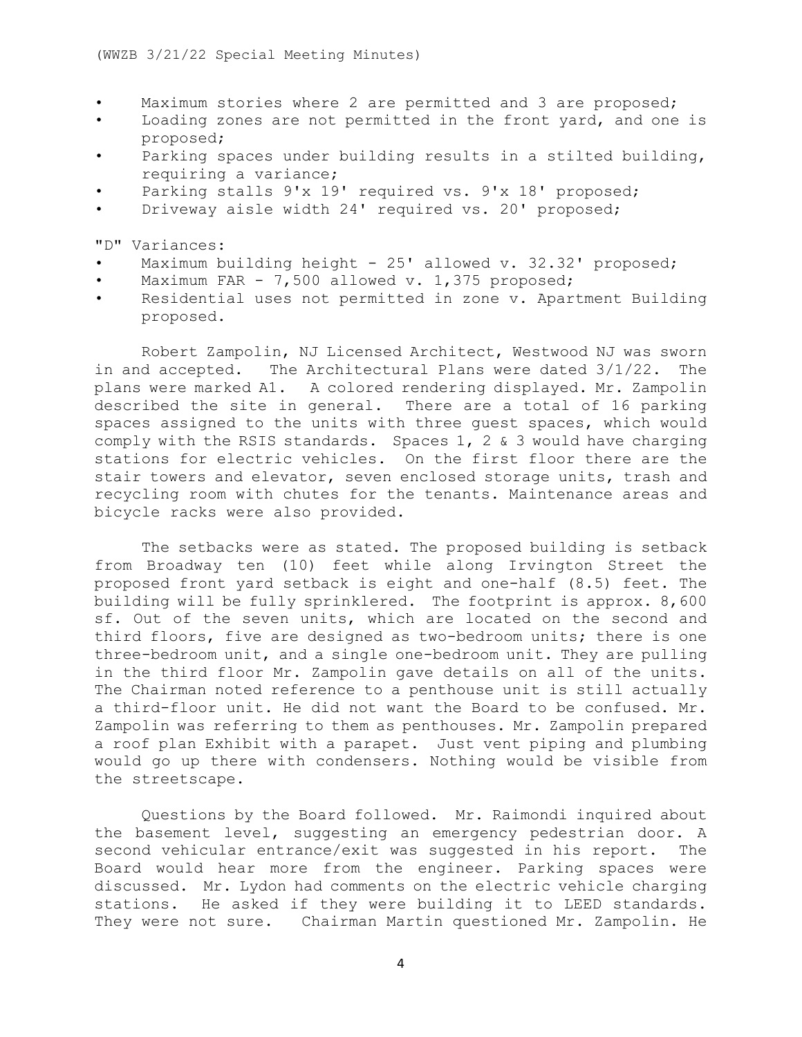- Maximum stories where 2 are permitted and 3 are proposed;
- Loading zones are not permitted in the front yard, and one is proposed;
- Parking spaces under building results in a stilted building, requiring a variance;
- Parking stalls 9'x 19' required vs. 9'x 18' proposed;
- Driveway aisle width 24' required vs. 20' proposed;

"D" Variances:

- Maximum building height 25' allowed v. 32.32' proposed;
- Maximum FAR 7,500 allowed v. 1,375 proposed;
- Residential uses not permitted in zone v. Apartment Building proposed.

Robert Zampolin, NJ Licensed Architect, Westwood NJ was sworn in and accepted. The Architectural Plans were dated 3/1/22. The plans were marked A1. A colored rendering displayed. Mr. Zampolin described the site in general. There are a total of 16 parking spaces assigned to the units with three guest spaces, which would comply with the RSIS standards. Spaces 1, 2 & 3 would have charging stations for electric vehicles. On the first floor there are the stair towers and elevator, seven enclosed storage units, trash and recycling room with chutes for the tenants. Maintenance areas and bicycle racks were also provided.

The setbacks were as stated. The proposed building is setback from Broadway ten (10) feet while along Irvington Street the proposed front yard setback is eight and one-half (8.5) feet. The building will be fully sprinklered. The footprint is approx. 8,600 sf. Out of the seven units, which are located on the second and third floors, five are designed as two-bedroom units; there is one three-bedroom unit, and a single one-bedroom unit. They are pulling in the third floor Mr. Zampolin gave details on all of the units. The Chairman noted reference to a penthouse unit is still actually a third-floor unit. He did not want the Board to be confused. Mr. Zampolin was referring to them as penthouses. Mr. Zampolin prepared a roof plan Exhibit with a parapet. Just vent piping and plumbing would go up there with condensers. Nothing would be visible from the streetscape.

Questions by the Board followed. Mr. Raimondi inquired about the basement level, suggesting an emergency pedestrian door. A second vehicular entrance/exit was suggested in his report. The Board would hear more from the engineer. Parking spaces were discussed. Mr. Lydon had comments on the electric vehicle charging stations. He asked if they were building it to LEED standards. They were not sure. Chairman Martin questioned Mr. Zampolin. He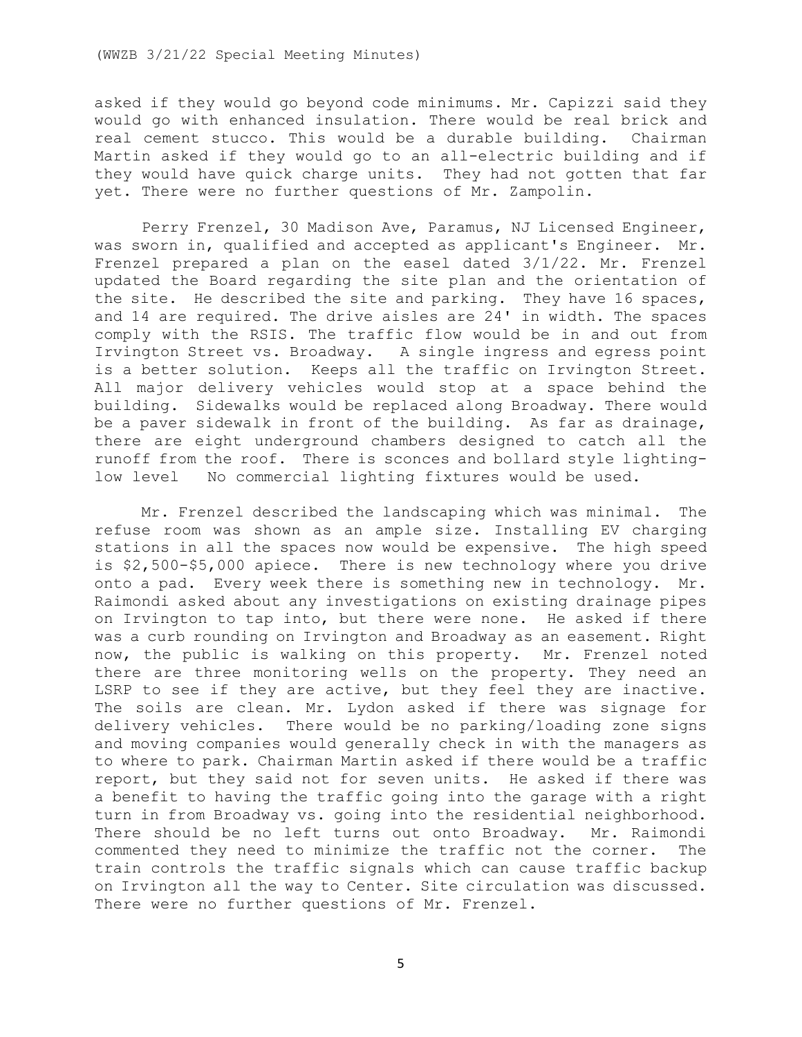#### (WWZB 3/21/22 Special Meeting Minutes)

asked if they would go beyond code minimums. Mr. Capizzi said they would go with enhanced insulation. There would be real brick and real cement stucco. This would be a durable building. Chairman Martin asked if they would go to an all-electric building and if they would have quick charge units. They had not gotten that far yet. There were no further questions of Mr. Zampolin.

Perry Frenzel, 30 Madison Ave, Paramus, NJ Licensed Engineer, was sworn in, qualified and accepted as applicant's Engineer. Mr. Frenzel prepared a plan on the easel dated 3/1/22. Mr. Frenzel updated the Board regarding the site plan and the orientation of the site. He described the site and parking. They have 16 spaces, and 14 are required. The drive aisles are 24' in width. The spaces comply with the RSIS. The traffic flow would be in and out from Irvington Street vs. Broadway. A single ingress and egress point is a better solution. Keeps all the traffic on Irvington Street. All major delivery vehicles would stop at a space behind the building. Sidewalks would be replaced along Broadway. There would be a paver sidewalk in front of the building. As far as drainage, there are eight underground chambers designed to catch all the runoff from the roof. There is sconces and bollard style lightinglow level No commercial lighting fixtures would be used.

Mr. Frenzel described the landscaping which was minimal. The refuse room was shown as an ample size. Installing EV charging stations in all the spaces now would be expensive. The high speed is \$2,500-\$5,000 apiece. There is new technology where you drive onto a pad. Every week there is something new in technology. Mr. Raimondi asked about any investigations on existing drainage pipes on Irvington to tap into, but there were none. He asked if there was a curb rounding on Irvington and Broadway as an easement. Right now, the public is walking on this property. Mr. Frenzel noted there are three monitoring wells on the property. They need an LSRP to see if they are active, but they feel they are inactive. The soils are clean. Mr. Lydon asked if there was signage for delivery vehicles. There would be no parking/loading zone signs and moving companies would generally check in with the managers as to where to park. Chairman Martin asked if there would be a traffic report, but they said not for seven units. He asked if there was a benefit to having the traffic going into the garage with a right turn in from Broadway vs. going into the residential neighborhood. There should be no left turns out onto Broadway. Mr. Raimondi commented they need to minimize the traffic not the corner. The train controls the traffic signals which can cause traffic backup on Irvington all the way to Center. Site circulation was discussed. There were no further questions of Mr. Frenzel.